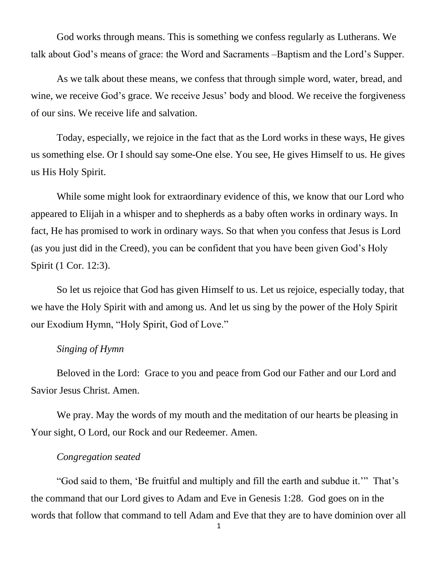God works through means. This is something we confess regularly as Lutherans. We talk about God's means of grace: the Word and Sacraments –Baptism and the Lord's Supper.

As we talk about these means, we confess that through simple word, water, bread, and wine, we receive God's grace. We receive Jesus' body and blood. We receive the forgiveness of our sins. We receive life and salvation.

Today, especially, we rejoice in the fact that as the Lord works in these ways, He gives us something else. Or I should say some-One else. You see, He gives Himself to us. He gives us His Holy Spirit.

While some might look for extraordinary evidence of this, we know that our Lord who appeared to Elijah in a whisper and to shepherds as a baby often works in ordinary ways. In fact, He has promised to work in ordinary ways. So that when you confess that Jesus is Lord (as you just did in the Creed), you can be confident that you have been given God's Holy Spirit (1 Cor. 12:3).

So let us rejoice that God has given Himself to us. Let us rejoice, especially today, that we have the Holy Spirit with and among us. And let us sing by the power of the Holy Spirit our Exodium Hymn, "Holy Spirit, God of Love."

## *Singing of Hymn*

Beloved in the Lord: Grace to you and peace from God our Father and our Lord and Savior Jesus Christ. Amen.

We pray. May the words of my mouth and the meditation of our hearts be pleasing in Your sight, O Lord, our Rock and our Redeemer. Amen.

## *Congregation seated*

"God said to them, 'Be fruitful and multiply and fill the earth and subdue it.'" That's the command that our Lord gives to Adam and Eve in Genesis 1:28. God goes on in the words that follow that command to tell Adam and Eve that they are to have dominion over all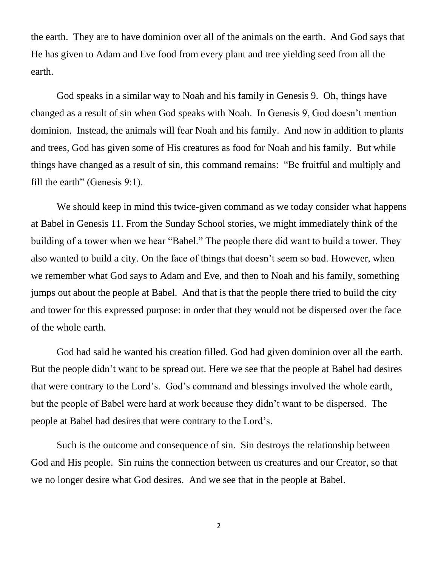the earth. They are to have dominion over all of the animals on the earth. And God says that He has given to Adam and Eve food from every plant and tree yielding seed from all the earth.

God speaks in a similar way to Noah and his family in Genesis 9. Oh, things have changed as a result of sin when God speaks with Noah. In Genesis 9, God doesn't mention dominion. Instead, the animals will fear Noah and his family. And now in addition to plants and trees, God has given some of His creatures as food for Noah and his family. But while things have changed as a result of sin, this command remains: "Be fruitful and multiply and fill the earth" (Genesis 9:1).

We should keep in mind this twice-given command as we today consider what happens at Babel in Genesis 11. From the Sunday School stories, we might immediately think of the building of a tower when we hear "Babel." The people there did want to build a tower. They also wanted to build a city. On the face of things that doesn't seem so bad. However, when we remember what God says to Adam and Eve, and then to Noah and his family, something jumps out about the people at Babel. And that is that the people there tried to build the city and tower for this expressed purpose: in order that they would not be dispersed over the face of the whole earth.

God had said he wanted his creation filled. God had given dominion over all the earth. But the people didn't want to be spread out. Here we see that the people at Babel had desires that were contrary to the Lord's. God's command and blessings involved the whole earth, but the people of Babel were hard at work because they didn't want to be dispersed. The people at Babel had desires that were contrary to the Lord's.

Such is the outcome and consequence of sin. Sin destroys the relationship between God and His people. Sin ruins the connection between us creatures and our Creator, so that we no longer desire what God desires. And we see that in the people at Babel.

2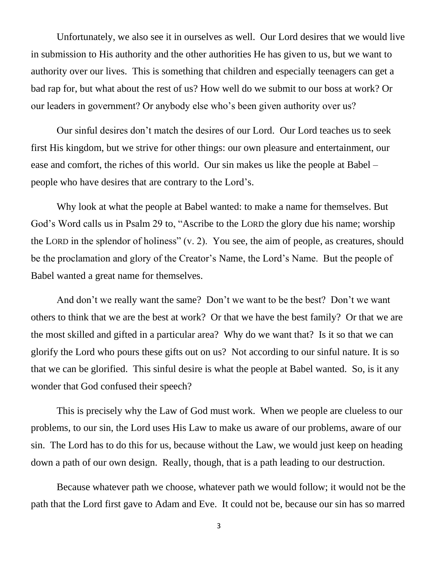Unfortunately, we also see it in ourselves as well. Our Lord desires that we would live in submission to His authority and the other authorities He has given to us, but we want to authority over our lives. This is something that children and especially teenagers can get a bad rap for, but what about the rest of us? How well do we submit to our boss at work? Or our leaders in government? Or anybody else who's been given authority over us?

Our sinful desires don't match the desires of our Lord. Our Lord teaches us to seek first His kingdom, but we strive for other things: our own pleasure and entertainment, our ease and comfort, the riches of this world. Our sin makes us like the people at Babel – people who have desires that are contrary to the Lord's.

Why look at what the people at Babel wanted: to make a name for themselves. But God's Word calls us in Psalm 29 to, "Ascribe to the LORD the glory due his name; worship the LORD in the splendor of holiness" (v. 2). You see, the aim of people, as creatures, should be the proclamation and glory of the Creator's Name, the Lord's Name. But the people of Babel wanted a great name for themselves.

And don't we really want the same? Don't we want to be the best? Don't we want others to think that we are the best at work? Or that we have the best family? Or that we are the most skilled and gifted in a particular area? Why do we want that? Is it so that we can glorify the Lord who pours these gifts out on us? Not according to our sinful nature. It is so that we can be glorified. This sinful desire is what the people at Babel wanted. So, is it any wonder that God confused their speech?

This is precisely why the Law of God must work. When we people are clueless to our problems, to our sin, the Lord uses His Law to make us aware of our problems, aware of our sin. The Lord has to do this for us, because without the Law, we would just keep on heading down a path of our own design. Really, though, that is a path leading to our destruction.

Because whatever path we choose, whatever path we would follow; it would not be the path that the Lord first gave to Adam and Eve. It could not be, because our sin has so marred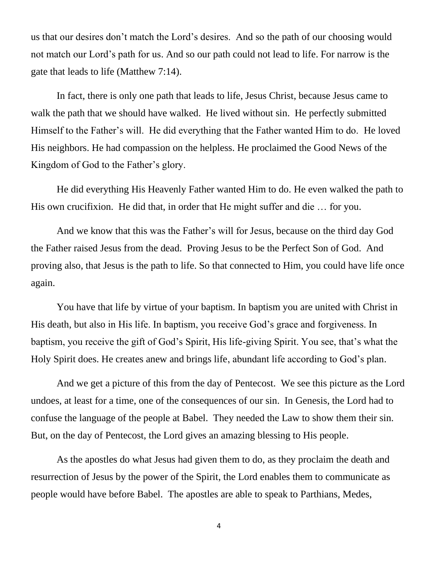us that our desires don't match the Lord's desires. And so the path of our choosing would not match our Lord's path for us. And so our path could not lead to life. For narrow is the gate that leads to life (Matthew 7:14).

In fact, there is only one path that leads to life, Jesus Christ, because Jesus came to walk the path that we should have walked. He lived without sin. He perfectly submitted Himself to the Father's will. He did everything that the Father wanted Him to do. He loved His neighbors. He had compassion on the helpless. He proclaimed the Good News of the Kingdom of God to the Father's glory.

He did everything His Heavenly Father wanted Him to do. He even walked the path to His own crucifixion. He did that, in order that He might suffer and die … for you.

And we know that this was the Father's will for Jesus, because on the third day God the Father raised Jesus from the dead. Proving Jesus to be the Perfect Son of God. And proving also, that Jesus is the path to life. So that connected to Him, you could have life once again.

You have that life by virtue of your baptism. In baptism you are united with Christ in His death, but also in His life. In baptism, you receive God's grace and forgiveness. In baptism, you receive the gift of God's Spirit, His life-giving Spirit. You see, that's what the Holy Spirit does. He creates anew and brings life, abundant life according to God's plan.

And we get a picture of this from the day of Pentecost. We see this picture as the Lord undoes, at least for a time, one of the consequences of our sin. In Genesis, the Lord had to confuse the language of the people at Babel. They needed the Law to show them their sin. But, on the day of Pentecost, the Lord gives an amazing blessing to His people.

As the apostles do what Jesus had given them to do, as they proclaim the death and resurrection of Jesus by the power of the Spirit, the Lord enables them to communicate as people would have before Babel. The apostles are able to speak to Parthians, Medes,

4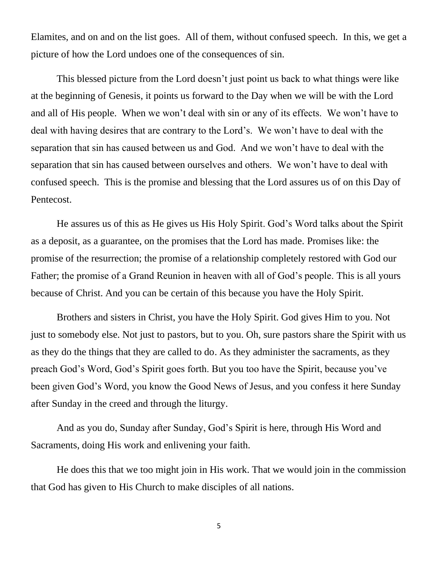Elamites, and on and on the list goes. All of them, without confused speech. In this, we get a picture of how the Lord undoes one of the consequences of sin.

This blessed picture from the Lord doesn't just point us back to what things were like at the beginning of Genesis, it points us forward to the Day when we will be with the Lord and all of His people. When we won't deal with sin or any of its effects. We won't have to deal with having desires that are contrary to the Lord's. We won't have to deal with the separation that sin has caused between us and God. And we won't have to deal with the separation that sin has caused between ourselves and others. We won't have to deal with confused speech. This is the promise and blessing that the Lord assures us of on this Day of Pentecost.

He assures us of this as He gives us His Holy Spirit. God's Word talks about the Spirit as a deposit, as a guarantee, on the promises that the Lord has made. Promises like: the promise of the resurrection; the promise of a relationship completely restored with God our Father; the promise of a Grand Reunion in heaven with all of God's people. This is all yours because of Christ. And you can be certain of this because you have the Holy Spirit.

Brothers and sisters in Christ, you have the Holy Spirit. God gives Him to you. Not just to somebody else. Not just to pastors, but to you. Oh, sure pastors share the Spirit with us as they do the things that they are called to do. As they administer the sacraments, as they preach God's Word, God's Spirit goes forth. But you too have the Spirit, because you've been given God's Word, you know the Good News of Jesus, and you confess it here Sunday after Sunday in the creed and through the liturgy.

And as you do, Sunday after Sunday, God's Spirit is here, through His Word and Sacraments, doing His work and enlivening your faith.

He does this that we too might join in His work. That we would join in the commission that God has given to His Church to make disciples of all nations.

5